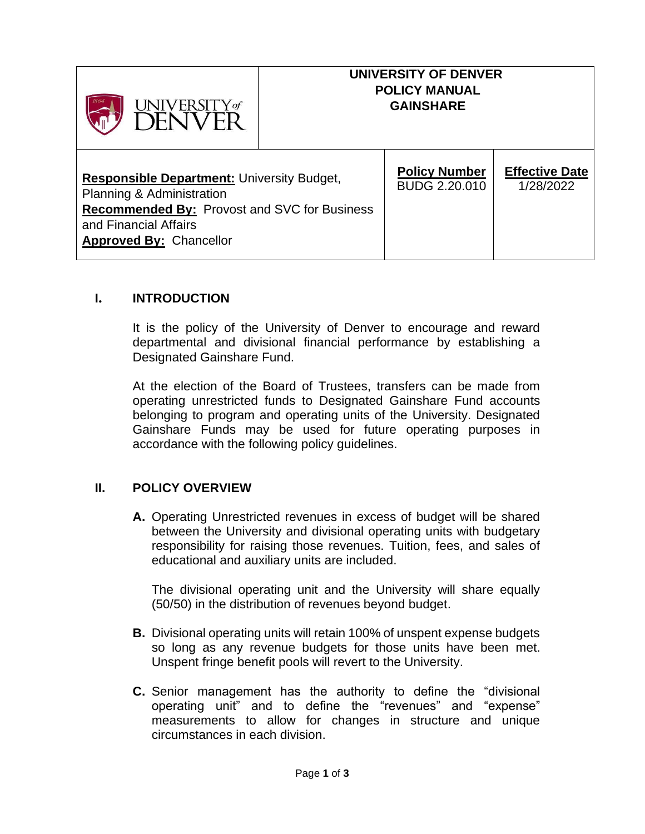| UNIVERSITY of<br>DËNVER                                                                                                                                                                          | UNIVERSITY OF DENVER<br><b>POLICY MANUAL</b><br><b>GAINSHARE</b> |                                    |
|--------------------------------------------------------------------------------------------------------------------------------------------------------------------------------------------------|------------------------------------------------------------------|------------------------------------|
| <b>Responsible Department: University Budget,</b><br>Planning & Administration<br><b>Recommended By: Provost and SVC for Business</b><br>and Financial Affairs<br><b>Approved By: Chancellor</b> | <b>Policy Number</b><br><b>BUDG 2.20.010</b>                     | <b>Effective Date</b><br>1/28/2022 |

## **I. INTRODUCTION**

It is the policy of the University of Denver to encourage and reward departmental and divisional financial performance by establishing a Designated Gainshare Fund.

At the election of the Board of Trustees, transfers can be made from operating unrestricted funds to Designated Gainshare Fund accounts belonging to program and operating units of the University. Designated Gainshare Funds may be used for future operating purposes in accordance with the following policy guidelines.

## **II. POLICY OVERVIEW**

**A.** Operating Unrestricted revenues in excess of budget will be shared between the University and divisional operating units with budgetary responsibility for raising those revenues. Tuition, fees, and sales of educational and auxiliary units are included.

The divisional operating unit and the University will share equally (50/50) in the distribution of revenues beyond budget.

- **B.** Divisional operating units will retain 100% of unspent expense budgets so long as any revenue budgets for those units have been met. Unspent fringe benefit pools will revert to the University.
- **C.** Senior management has the authority to define the "divisional operating unit" and to define the "revenues" and "expense" measurements to allow for changes in structure and unique circumstances in each division.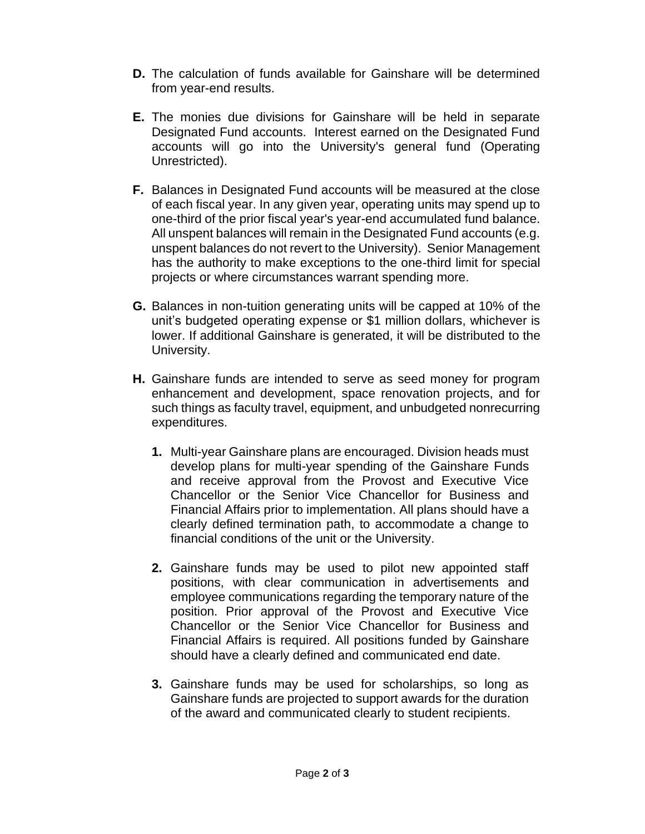- **D.** The calculation of funds available for Gainshare will be determined from year-end results.
- **E.** The monies due divisions for Gainshare will be held in separate Designated Fund accounts. Interest earned on the Designated Fund accounts will go into the University's general fund (Operating Unrestricted).
- **F.** Balances in Designated Fund accounts will be measured at the close of each fiscal year. In any given year, operating units may spend up to one-third of the prior fiscal year's year-end accumulated fund balance. All unspent balances will remain in the Designated Fund accounts (e.g. unspent balances do not revert to the University). Senior Management has the authority to make exceptions to the one-third limit for special projects or where circumstances warrant spending more.
- **G.** Balances in non-tuition generating units will be capped at 10% of the unit's budgeted operating expense or \$1 million dollars, whichever is lower. If additional Gainshare is generated, it will be distributed to the University.
- **H.** Gainshare funds are intended to serve as seed money for program enhancement and development, space renovation projects, and for such things as faculty travel, equipment, and unbudgeted nonrecurring expenditures.
	- **1.** Multi-year Gainshare plans are encouraged. Division heads must develop plans for multi-year spending of the Gainshare Funds and receive approval from the Provost and Executive Vice Chancellor or the Senior Vice Chancellor for Business and Financial Affairs prior to implementation. All plans should have a clearly defined termination path, to accommodate a change to financial conditions of the unit or the University.
	- **2.** Gainshare funds may be used to pilot new appointed staff positions, with clear communication in advertisements and employee communications regarding the temporary nature of the position. Prior approval of the Provost and Executive Vice Chancellor or the Senior Vice Chancellor for Business and Financial Affairs is required. All positions funded by Gainshare should have a clearly defined and communicated end date.
	- **3.** Gainshare funds may be used for scholarships, so long as Gainshare funds are projected to support awards for the duration of the award and communicated clearly to student recipients.